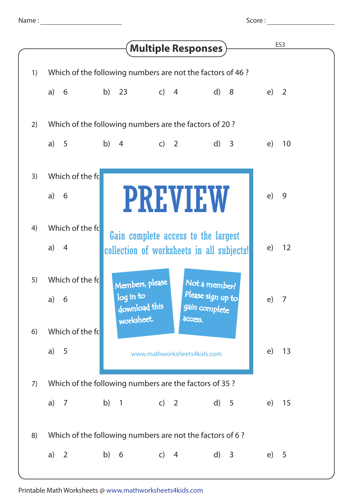Score :